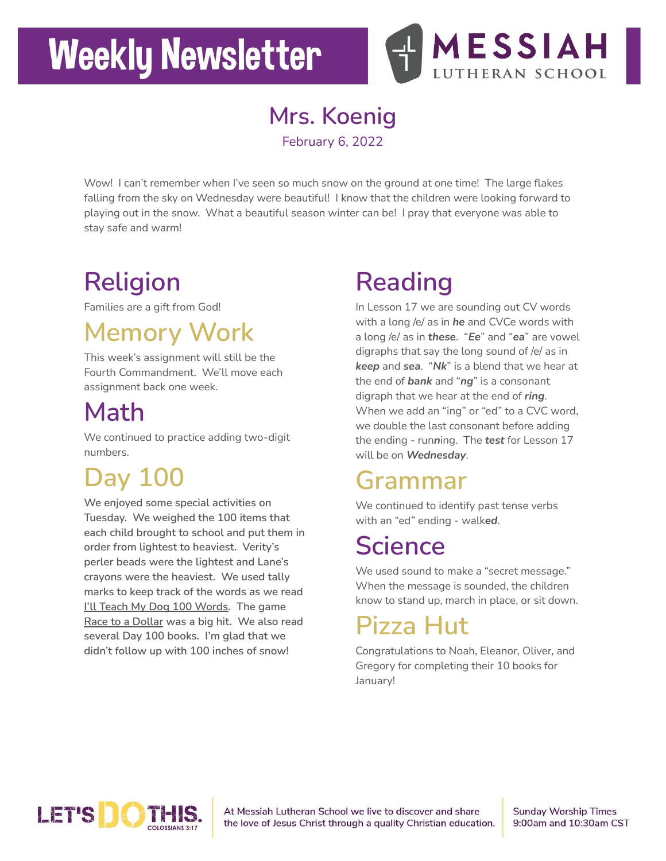# **Weekly Newsletter**



**Mrs. Koenig**

February 6, 2022

Wow! I can't remember when I've seen so much snow on the ground at one time! The large flakes falling from the sky on Wednesday were beautiful! I know that the children were looking forward to playing out in the snow. What a beautiful season winter can be! I pray that everyone was able to stay safe and warm!

## **Religion**

Families are a gift from God!

## **Memory Work**

This week's assignment will still be the Fourth Commandment. We'll move each assignment back one week.

### **Math**

We continued to practice adding two-digit numbers.

## **Day 100**

**We enjoyed some special activities on Tuesday. We weighed the 100 items that each child brought to school and put them in order from lightest to heaviest. Verity's perler beads were the lightest and Lane's crayons were the heaviest. We used tally marks to keep track of the words as we read I'll Teach My Dog 100 Words. The game Race to a Dollar was a big hit. We also read several Day 100 books. I'm glad that we didn't follow up with 100 inches of snow!**

## **Reading**

In Lesson 17 we are sounding out CV words with a long /e/ as in *he* and CVCe words with a long /e/ as in *these*. "*Ee*" and "*ea*" are vowel digraphs that say the long sound of /e/ as in *keep* and *sea*. "*Nk*" is a blend that we hear at the end of *bank* and "*ng*" is a consonant digraph that we hear at the end of *ring*. When we add an "ing" or "ed" to a CVC word, we double the last consonant before adding the ending - run*n*ing. The *test* for Lesson 17 will be on *Wednesday*.

### **Grammar**

We continued to identify past tense verbs with an "ed" ending - walk*ed*.

#### **Science**

We used sound to make a "secret message." When the message is sounded, the children know to stand up, march in place, or sit down.

## **Pizza Hut**

Congratulations to Noah, Eleanor, Oliver, and Gregory for completing their 10 books for January!



At Messiah Lutheran School we live to discover and share the love of Jesus Christ through a quality Christian education. **Sunday Worship Times** 9:00am and 10:30am CST